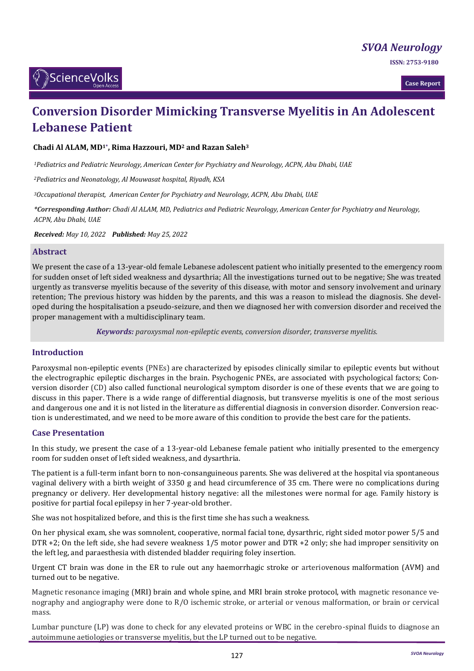*[SVOA Neurology](https://sciencevolks.com/neurology/)*

**ISSN: 2753-9180** 

**Case Report**

# **Conversion Disorder Mimicking Transverse Myelitis in An Adolescent Lebanese Patient**

**Chadi Al ALAM, MD1\* , Rima Hazzouri, MD<sup>2</sup> and Razan Saleh<sup>3</sup>**

*<sup>1</sup>Pediatrics and Pediatric Neurology, American Center for Psychiatry and Neurology, ACPN, Abu Dhabi, UAE*

*<sup>2</sup>Pediatrics and Neonatology, Al Mouwasat hospital, Riyadh, KSA*

*<sup>3</sup>Occupational therapist, American Center for Psychiatry and Neurology, ACPN, Abu Dhabi, UAE*

*\*Corresponding Author: Chadi Al ALAM, MD, Pediatrics and Pediatric Neurology, American Center for Psychiatry and Neurology, ACPN, Abu Dhabi, UAE*

*Received: May 10, 2022 Published: May 25, 2022*

### **Abstract**

We present the case of a 13-year-old female Lebanese adolescent patient who initially presented to the emergency room for sudden onset of left sided weakness and dysarthria; All the investigations turned out to be negative; She was treated urgently as transverse myelitis because of the severity of this disease, with motor and sensory involvement and urinary retention; The previous history was hidden by the parents, and this was a reason to mislead the diagnosis. She developed during the hospitalisation a pseudo-seizure, and then we diagnosed her with conversion disorder and received the proper management with a multidisciplinary team.

*Keywords: paroxysmal non-epileptic events, conversion disorder, transverse myelitis.*

## **Introduction**

Paroxysmal non-epileptic events (PNEs) are characterized by episodes clinically similar to epileptic events but without the electrographic epileptic discharges in the brain. Psychogenic PNEs, are associated with psychological factors; Conversion disorder (CD) also called functional neurological symptom disorder is one of these events that we are going to discuss in this paper. There is a wide range of differential diagnosis, but transverse myelitis is one of the most serious and dangerous one and it is not listed in the literature as differential diagnosis in conversion disorder. Conversion reaction is underestimated, and we need to be more aware of this condition to provide the best care for the patients.

### **Case Presentation**

In this study, we present the case of a 13-year-old Lebanese female patient who initially presented to the emergency room for sudden onset of left sided weakness, and dysarthria.

The patient is a full-term infant born to non-consanguineous parents. She was delivered at the hospital via spontaneous vaginal delivery with a birth weight of 3350 g and head circumference of 35 cm. There were no complications during pregnancy or delivery. Her developmental history negative: all the milestones were normal for age. Family history is positive for partial focal epilepsy in her 7-year-old brother.

She was not hospitalized before, and this is the first time she has such a weakness.

On her physical exam, she was somnolent, cooperative, normal facial tone, dysarthric, right sided motor power 5/5 and DTR +2; On the left side, she had severe weakness 1/5 motor power and DTR +2 only; she had improper sensitivity on the left leg, and paraesthesia with distended bladder requiring foley insertion.

Urgent CT brain was done in the ER to rule out any haemorrhagic stroke or arteriovenous malformation (AVM) and turned out to be negative.

Magnetic resonance imaging (MRI) brain and whole spine, and MRI brain stroke protocol, with magnetic resonance venography and angiography were done to R/O ischemic stroke, or arterial or venous malformation, or brain or cervical mass.

Lumbar puncture (LP) was done to check for any elevated proteins or WBC in the cerebro-spinal fluids to diagnose an autoimmune aetiologies or transverse myelitis, but the LP turned out to be negative.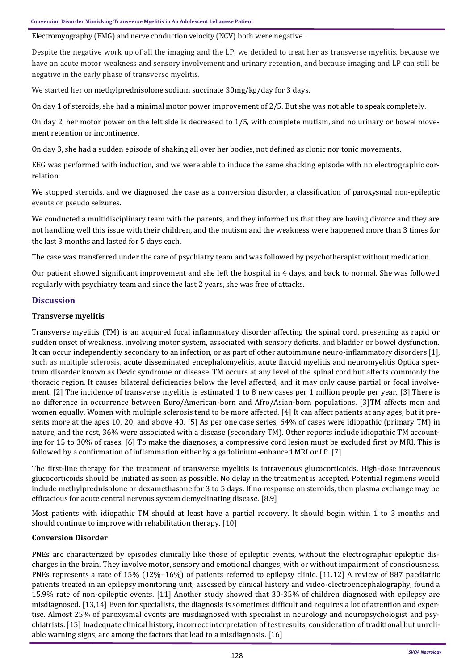## Electromyography (EMG) and nerve conduction velocity (NCV) both were negative.

Despite the negative work up of all the imaging and the LP, we decided to treat her as transverse myelitis, because we have an acute motor weakness and sensory involvement and urinary retention, and because imaging and LP can still be negative in the early phase of transverse myelitis.

We started her on methylprednisolone sodium succinate 30mg/kg/day for 3 days.

On day 1 of steroids, she had a minimal motor power improvement of 2/5. But she was not able to speak completely.

On day 2, her motor power on the left side is decreased to 1/5, with complete mutism, and no urinary or bowel movement retention or incontinence.

On day 3, she had a sudden episode of shaking all over her bodies, not defined as clonic nor tonic movements.

EEG was performed with induction, and we were able to induce the same shacking episode with no electrographic correlation.

We stopped steroids, and we diagnosed the case as a conversion disorder, a classification of paroxysmal non-epileptic events or pseudo seizures.

We conducted a multidisciplinary team with the parents, and they informed us that they are having divorce and they are not handling well this issue with their children, and the mutism and the weakness were happened more than 3 times for the last 3 months and lasted for 5 days each.

The case was transferred under the care of psychiatry team and was followed by psychotherapist without medication.

Our patient showed significant improvement and she left the hospital in 4 days, and back to normal. She was followed regularly with psychiatry team and since the last 2 years, she was free of attacks.

## **Discussion**

## **Transverse myelitis**

Transverse myelitis (TM) is an acquired focal inflammatory disorder affecting the spinal cord, presenting as rapid or sudden onset of weakness, involving motor system, associated with sensory deficits, and bladder or bowel dysfunction. It can occur independently secondary to an infection, or as part of other autoimmune neuro-inflammatory disorders [1], such as multiple sclerosis, acute disseminated encephalomyelitis, acute flaccid myelitis and neuromyelitis Optica spectrum disorder known as Devic syndrome or disease. TM occurs at any level of the spinal cord but affects commonly the thoracic region. It causes bilateral deficiencies below the level affected, and it may only cause partial or focal involvement. [2] The incidence of transverse myelitis is estimated 1 to 8 new cases per 1 million people per year. [3] There is no difference in occurrence between Euro/American-born and Afro/Asian-born populations. [3]TM affects men and women equally. Women with multiple sclerosis tend to be more affected. [4] It can affect patients at any ages, but it presents more at the ages 10, 20, and above 40. [5] As per one case series, 64% of cases were idiopathic (primary TM) in nature, and the rest, 36% were associated with a disease (secondary TM). Other reports include idiopathic TM accounting for 15 to 30% of cases. [6] To make the diagnoses, a compressive cord lesion must be excluded first by MRI. This is followed by a confirmation of inflammation either by a gadolinium-enhanced MRI or LP. [7]

The first-line therapy for the treatment of transverse myelitis is intravenous glucocorticoids. High-dose intravenous glucocorticoids should be initiated as soon as possible. No delay in the treatment is accepted. Potential regimens would include methylprednisolone or dexamethasone for 3 to 5 days. If no response on steroids, then plasma exchange may be efficacious for acute central nervous system demyelinating disease. [8.9]

Most patients with idiopathic TM should at least have a partial recovery. It should begin within 1 to 3 months and should continue to improve with rehabilitation therapy. [10]

### **Conversion Disorder**

PNEs are characterized by episodes clinically like those of epileptic events, without the electrographic epileptic discharges in the brain. They involve motor, sensory and emotional changes, with or without impairment of consciousness. PNEs represents a rate of 15% (12%–16%) of patients referred to epilepsy clinic. [11.12] A review of 887 paediatric patients treated in an epilepsy monitoring unit, assessed by clinical history and video-electroencephalography, found a 15.9% rate of non-epileptic events. [11] Another study showed that 30-35% of children diagnosed with epilepsy are misdiagnosed. [13,14] Even for specialists, the diagnosis is sometimes difficult and requires a lot of attention and expertise. Almost 25% of paroxysmal events are misdiagnosed with specialist in neurology and neuropsychologist and psychiatrists. [15] Inadequate clinical history, incorrect interpretation of test results, consideration of traditional but unreliable warning signs, are among the factors that lead to a misdiagnosis. [16]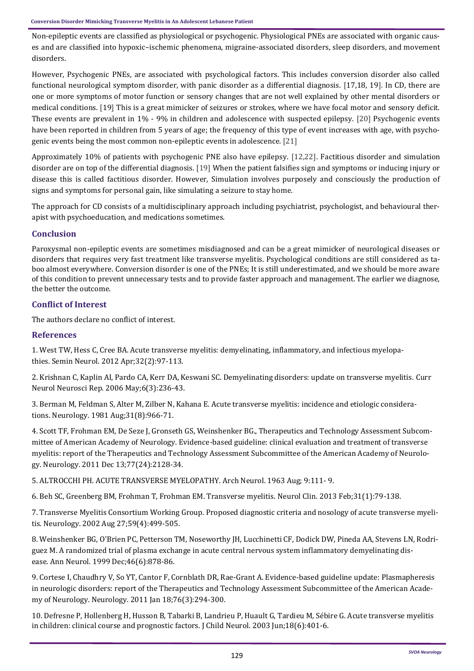Non-epileptic events are classified as physiological or psychogenic. Physiological PNEs are associated with organic causes and are classified into hypoxic–ischemic phenomena, migraine-associated disorders, sleep disorders, and movement disorders.

However, Psychogenic PNEs, are associated with psychological factors. This includes conversion disorder also called functional neurological symptom disorder, with panic disorder as a differential diagnosis. [17,18, 19]. In CD, there are one or more symptoms of motor function or sensory changes that are not well explained by other mental disorders or medical conditions. [19] This is a great mimicker of seizures or strokes, where we have focal motor and sensory deficit. These events are prevalent in 1% - 9% in children and adolescence with suspected epilepsy. [20] Psychogenic events have been reported in children from 5 years of age; the frequency of this type of event increases with age, with psychogenic events being the most common non-epileptic events in adolescence. [21]

Approximately 10% of patients with psychogenic PNE also have epilepsy. [12,22]. Factitious disorder and simulation disorder are on top of the differential diagnosis. [19] When the patient falsifies sign and symptoms or inducing injury or disease this is called factitious disorder. However, Simulation involves purposely and consciously the production of signs and symptoms for personal gain, like simulating a seizure to stay home.

The approach for CD consists of a multidisciplinary approach including psychiatrist, psychologist, and behavioural therapist with psychoeducation, and medications sometimes.

# **Conclusion**

Paroxysmal non-epileptic events are sometimes misdiagnosed and can be a great mimicker of neurological diseases or disorders that requires very fast treatment like transverse myelitis. Psychological conditions are still considered as taboo almost everywhere. Conversion disorder is one of the PNEs; It is still underestimated, and we should be more aware of this condition to prevent unnecessary tests and to provide faster approach and management. The earlier we diagnose, the better the outcome.

# **Conflict of Interest**

The authors declare no conflict of interest.

## **References**

[1. West TW, Hess C, Cree BA. Acute transverse myelitis: demyelinating, inflammatory, and infectious myelopa](https://pubmed.ncbi.nlm.nih.gov/22961185/)thies. Semin Neurol. [2012 Apr;32\(2\):97](https://pubmed.ncbi.nlm.nih.gov/22961185/)-113.

[2. Krishnan C, Kaplin AI, Pardo CA, Kerr DA, Keswani SC. Demyelinating disorders: update on transverse myelitis.](https://link.springer.com/article/10.1007/s11910-006-0011-1) Curr [Neurol Neurosci Rep.](https://link.springer.com/article/10.1007/s11910-006-0011-1) 2006 May;6(3):236-43.

[3. Berman M, Feldman S, Alter M, Zilber N, Kahana E. Acute transverse myelitis: incidence and etiologic considera](https://pubmed.ncbi.nlm.nih.gov/7196523/)tions. Neurology. [1981 Aug;31\(8\):966](https://pubmed.ncbi.nlm.nih.gov/7196523/)-71.

[4. Scott TF, Frohman EM, De Seze J, Gronseth GS, Weinshenker BG., Therapeutics and Technology Assessment Subcom](https://n.neurology.org/content/77/24/2128)mittee of American Academy of Neurology. Evidence-[based guideline: clinical evaluation and treatment of transverse](https://n.neurology.org/content/77/24/2128)  [myelitis: report of the Therapeutics and Technology Assessment Subcommittee of the American Academy of Neurolo](https://n.neurology.org/content/77/24/2128)gy. Neurology. [2011 Dec 13;77\(24\):2128](https://n.neurology.org/content/77/24/2128)-34.

[5. ALTROCCHI PH. ACUTE TRANSVERSE MYELOPATHY.](https://pubmed.ncbi.nlm.nih.gov/14048158/) Arch Neurol. 1963 Aug; 9:111- 9.

[6. Beh SC, Greenberg BM, Frohman T, Frohman EM. Transverse myelitis.](https://pubmed.ncbi.nlm.nih.gov/23186897/) Neurol Clin. 2013 Feb;31(1):79-138.

7. [Transverse Myelitis Consortium Working Group. Proposed diagnostic criteria and nosology of acute transverse myeli](https://pubmed.ncbi.nlm.nih.gov/12236201/)tis. Neurology. [2002 Aug 27;59\(4\):499](https://pubmed.ncbi.nlm.nih.gov/12236201/)-505.

[8. Weinshenker BG, O'Brien PC, Petterson TM, Noseworthy JH, Lucchinetti CF, Dodick DW, Pineda AA, Stevens LN, Rodri](https://pubmed.ncbi.nlm.nih.gov/10589540/)[guez M. A randomized trial of plasma exchange in acute central nervous system inflammatory demyelinating dis](https://pubmed.ncbi.nlm.nih.gov/10589540/)ease. Ann Neurol. [1999 Dec;46\(6\):878](https://pubmed.ncbi.nlm.nih.gov/10589540/)-86.

[9. Cortese I, Chaudhry V, So YT, Cantor F, Cornblath DR, Rae](https://pubmed.ncbi.nlm.nih.gov/21242498/)-Grant A. Evidence-based guideline update: Plasmapheresis [in neurologic disorders: report of the Therapeutics and Technology Assessment Subcommittee of the American Acade](https://pubmed.ncbi.nlm.nih.gov/21242498/)my of Neurology. Neurology. [2011 Jan 18;76\(3\):294](https://pubmed.ncbi.nlm.nih.gov/21242498/)-300.

10. Defresne P, Hollenberg H, Husson B, Tabarki B, Landrieu P, Huault G, Tardieu M, Sébire G. Acute transverse myelitis [in children: clinical course and prognostic factors.](https://pubmed.ncbi.nlm.nih.gov/12886975/) J Child Neurol. 2003 Jun;18(6):401-6.